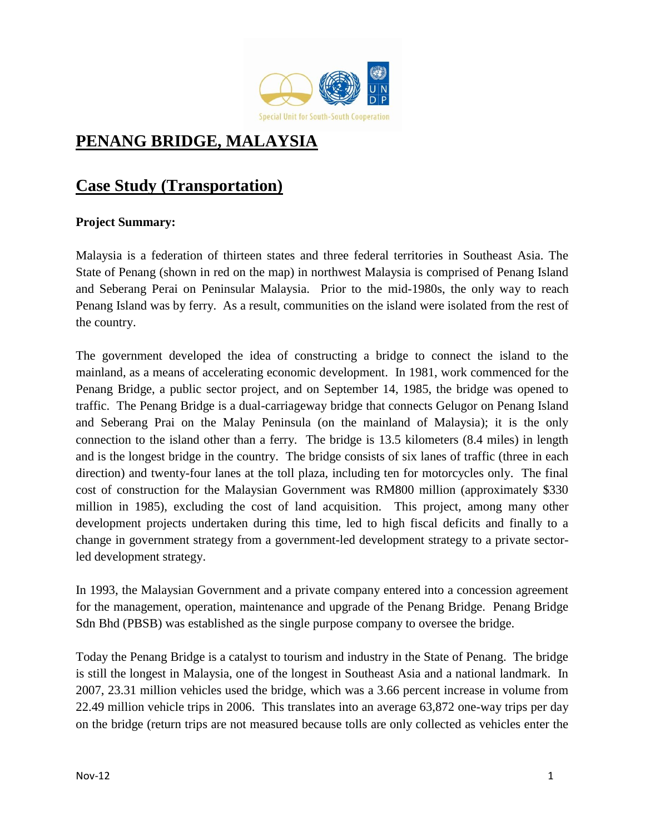

# **PENANG BRIDGE, MALAYSIA**

# **Case Study (Transportation)**

## **Project Summary:**

Malaysia is a federation of thirteen states and three federal territories in Southeast Asia. The State of Penang (shown in red on the map) in northwest Malaysia is comprised of Penang Island and Seberang Perai on Peninsular Malaysia. Prior to the mid-1980s, the only way to reach Penang Island was by ferry. As a result, communities on the island were isolated from the rest of the country.

The government developed the idea of constructing a bridge to connect the island to the mainland, as a means of accelerating economic development. In 1981, work commenced for the Penang Bridge, a public sector project, and on September 14, 1985, the bridge was opened to traffic. The Penang Bridge is a dual-carriageway bridge that connects Gelugor on Penang Island and Seberang Prai on the Malay Peninsula (on the mainland of Malaysia); it is the only connection to the island other than a ferry. The bridge is 13.5 kilometers (8.4 miles) in length and is the longest bridge in the country. The bridge consists of six lanes of traffic (three in each direction) and twenty-four lanes at the toll plaza, including ten for motorcycles only. The final cost of construction for the Malaysian Government was RM800 million (approximately \$330 million in 1985), excluding the cost of land acquisition. This project, among many other development projects undertaken during this time, led to high fiscal deficits and finally to a change in government strategy from a government-led development strategy to a private sectorled development strategy.

In 1993, the Malaysian Government and a private company entered into a concession agreement for the management, operation, maintenance and upgrade of the Penang Bridge. Penang Bridge Sdn Bhd (PBSB) was established as the single purpose company to oversee the bridge.

Today the Penang Bridge is a catalyst to tourism and industry in the State of Penang. The bridge is still the longest in Malaysia, one of the longest in Southeast Asia and a national landmark. In 2007, 23.31 million vehicles used the bridge, which was a 3.66 percent increase in volume from 22.49 million vehicle trips in 2006. This translates into an average 63,872 one-way trips per day on the bridge (return trips are not measured because tolls are only collected as vehicles enter the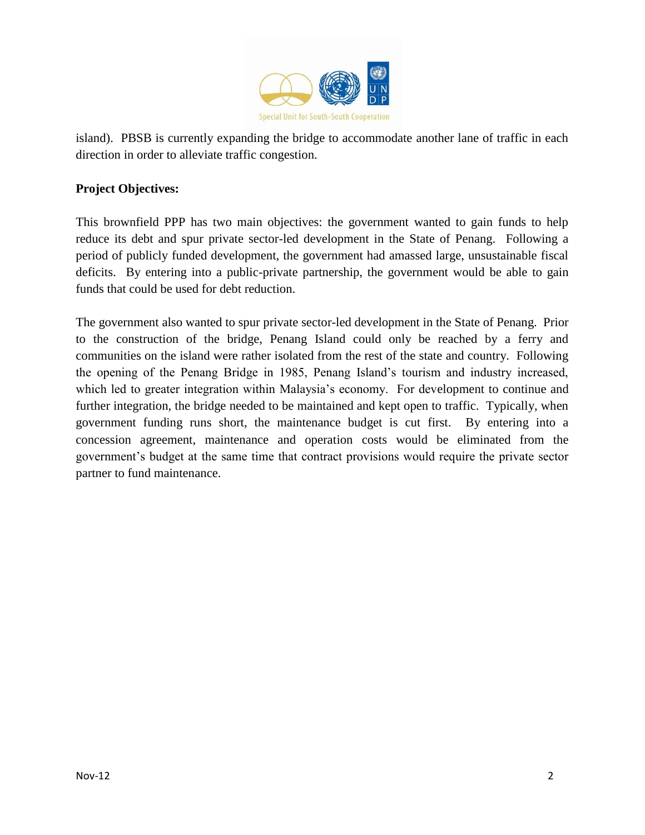

island). PBSB is currently expanding the bridge to accommodate another lane of traffic in each direction in order to alleviate traffic congestion.

## **Project Objectives:**

This brownfield PPP has two main objectives: the government wanted to gain funds to help reduce its debt and spur private sector-led development in the State of Penang. Following a period of publicly funded development, the government had amassed large, unsustainable fiscal deficits. By entering into a public-private partnership, the government would be able to gain funds that could be used for debt reduction.

The government also wanted to spur private sector-led development in the State of Penang. Prior to the construction of the bridge, Penang Island could only be reached by a ferry and communities on the island were rather isolated from the rest of the state and country. Following the opening of the Penang Bridge in 1985, Penang Island's tourism and industry increased, which led to greater integration within Malaysia's economy. For development to continue and further integration, the bridge needed to be maintained and kept open to traffic. Typically, when government funding runs short, the maintenance budget is cut first. By entering into a concession agreement, maintenance and operation costs would be eliminated from the government's budget at the same time that contract provisions would require the private sector partner to fund maintenance.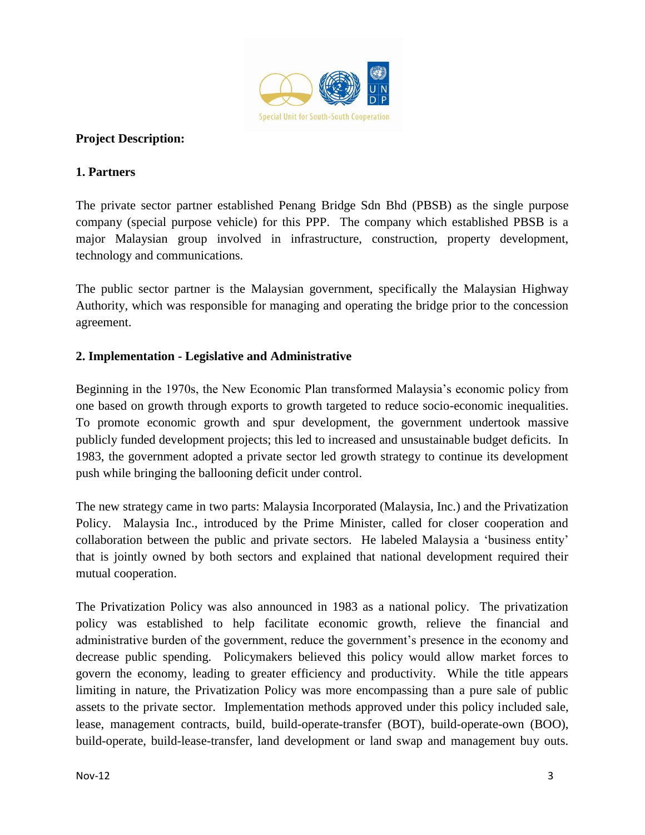

### **Project Description:**

#### **1. Partners**

The private sector partner established Penang Bridge Sdn Bhd (PBSB) as the single purpose company (special purpose vehicle) for this PPP. The company which established PBSB is a major Malaysian group involved in infrastructure, construction, property development, technology and communications.

The public sector partner is the Malaysian government, specifically the Malaysian Highway Authority, which was responsible for managing and operating the bridge prior to the concession agreement.

### **2. Implementation - Legislative and Administrative**

Beginning in the 1970s, the New Economic Plan transformed Malaysia's economic policy from one based on growth through exports to growth targeted to reduce socio-economic inequalities. To promote economic growth and spur development, the government undertook massive publicly funded development projects; this led to increased and unsustainable budget deficits. In 1983, the government adopted a private sector led growth strategy to continue its development push while bringing the ballooning deficit under control.

The new strategy came in two parts: Malaysia Incorporated (Malaysia, Inc.) and the Privatization Policy. Malaysia Inc., introduced by the Prime Minister, called for closer cooperation and collaboration between the public and private sectors. He labeled Malaysia a 'business entity' that is jointly owned by both sectors and explained that national development required their mutual cooperation.

The Privatization Policy was also announced in 1983 as a national policy. The privatization policy was established to help facilitate economic growth, relieve the financial and administrative burden of the government, reduce the government's presence in the economy and decrease public spending. Policymakers believed this policy would allow market forces to govern the economy, leading to greater efficiency and productivity. While the title appears limiting in nature, the Privatization Policy was more encompassing than a pure sale of public assets to the private sector. Implementation methods approved under this policy included sale, lease, management contracts, build, build-operate-transfer (BOT), build-operate-own (BOO), build-operate, build-lease-transfer, land development or land swap and management buy outs.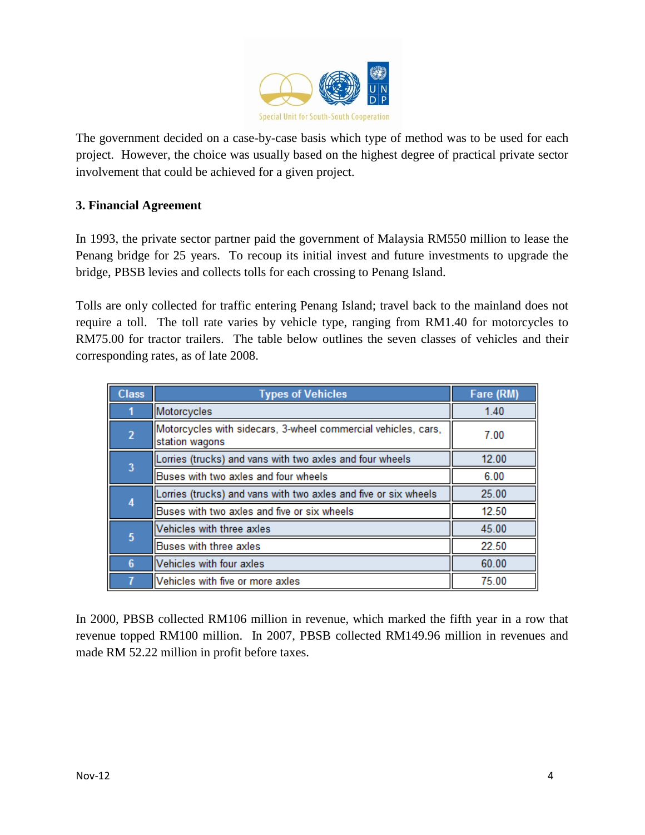

The government decided on a case-by-case basis which type of method was to be used for each project. However, the choice was usually based on the highest degree of practical private sector involvement that could be achieved for a given project.

### **3. Financial Agreement**

In 1993, the private sector partner paid the government of Malaysia RM550 million to lease the Penang bridge for 25 years. To recoup its initial invest and future investments to upgrade the bridge, PBSB levies and collects tolls for each crossing to Penang Island.

Tolls are only collected for traffic entering Penang Island; travel back to the mainland does not require a toll. The toll rate varies by vehicle type, ranging from RM1.40 for motorcycles to RM75.00 for tractor trailers. The table below outlines the seven classes of vehicles and their corresponding rates, as of late 2008.

| <b>Class</b>    | <b>Types of Vehicles</b>                                                        | Fare (RM) |
|-----------------|---------------------------------------------------------------------------------|-----------|
|                 | Motorcycles                                                                     | 1.40      |
| $\overline{2}$  | Motorcycles with sidecars, 3-wheel commercial vehicles, cars,<br>station wagons | 7.00      |
| 3               | Lorries (trucks) and vans with two axles and four wheels                        | 12.00     |
|                 | Buses with two axles and four wheels                                            | 6.00      |
| 4               | Lorries (trucks) and vans with two axles and five or six wheels                 | 25.00     |
|                 | Buses with two axles and five or six wheels                                     | 12.50     |
| $5\phantom{.0}$ | Vehicles with three axles                                                       | 45.00     |
|                 | Buses with three axles                                                          | 22.50     |
| 6               | Vehicles with four axles                                                        | 60.00     |
|                 | Vehicles with five or more axles                                                | 75.00     |

In 2000, PBSB collected RM106 million in revenue, which marked the fifth year in a row that revenue topped RM100 million. In 2007, PBSB collected RM149.96 million in revenues and made RM 52.22 million in profit before taxes.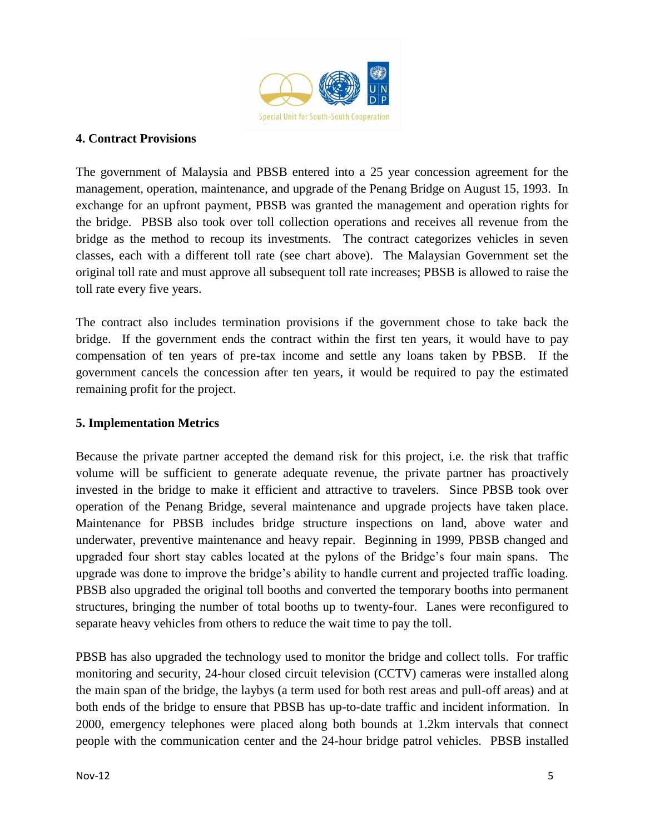

#### **4. Contract Provisions**

The government of Malaysia and PBSB entered into a 25 year concession agreement for the management, operation, maintenance, and upgrade of the Penang Bridge on August 15, 1993. In exchange for an upfront payment, PBSB was granted the management and operation rights for the bridge. PBSB also took over toll collection operations and receives all revenue from the bridge as the method to recoup its investments. The contract categorizes vehicles in seven classes, each with a different toll rate (see chart above). The Malaysian Government set the original toll rate and must approve all subsequent toll rate increases; PBSB is allowed to raise the toll rate every five years.

The contract also includes termination provisions if the government chose to take back the bridge. If the government ends the contract within the first ten years, it would have to pay compensation of ten years of pre-tax income and settle any loans taken by PBSB. If the government cancels the concession after ten years, it would be required to pay the estimated remaining profit for the project.

#### **5. Implementation Metrics**

Because the private partner accepted the demand risk for this project, i.e. the risk that traffic volume will be sufficient to generate adequate revenue, the private partner has proactively invested in the bridge to make it efficient and attractive to travelers. Since PBSB took over operation of the Penang Bridge, several maintenance and upgrade projects have taken place. Maintenance for PBSB includes bridge structure inspections on land, above water and underwater, preventive maintenance and heavy repair. Beginning in 1999, PBSB changed and upgraded four short stay cables located at the pylons of the Bridge's four main spans. The upgrade was done to improve the bridge's ability to handle current and projected traffic loading. PBSB also upgraded the original toll booths and converted the temporary booths into permanent structures, bringing the number of total booths up to twenty-four. Lanes were reconfigured to separate heavy vehicles from others to reduce the wait time to pay the toll.

PBSB has also upgraded the technology used to monitor the bridge and collect tolls. For traffic monitoring and security, 24-hour closed circuit television (CCTV) cameras were installed along the main span of the bridge, the laybys (a term used for both rest areas and pull-off areas) and at both ends of the bridge to ensure that PBSB has up-to-date traffic and incident information. In 2000, emergency telephones were placed along both bounds at 1.2km intervals that connect people with the communication center and the 24-hour bridge patrol vehicles. PBSB installed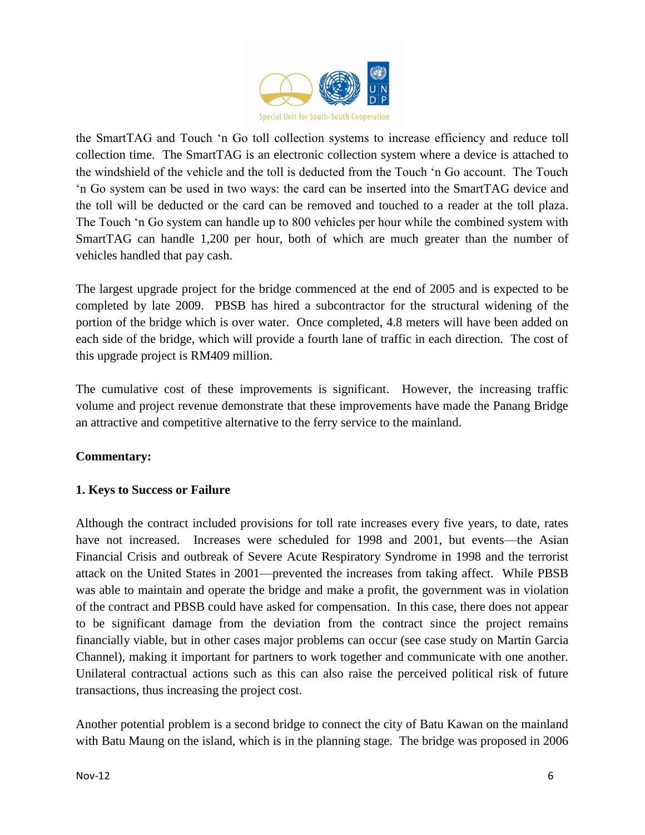

the SmartTAG and Touch 'n Go toll collection systems to increase efficiency and reduce toll collection time. The SmartTAG is an electronic collection system where a device is attached to the windshield of the vehicle and the toll is deducted from the Touch 'n Go account. The Touch 'n Go system can be used in two ways: the card can be inserted into the SmartTAG device and the toll will be deducted or the card can be removed and touched to a reader at the toll plaza. The Touch 'n Go system can handle up to 800 vehicles per hour while the combined system with SmartTAG can handle 1,200 per hour, both of which are much greater than the number of vehicles handled that pay cash.

The largest upgrade project for the bridge commenced at the end of 2005 and is expected to be completed by late 2009. PBSB has hired a subcontractor for the structural widening of the portion of the bridge which is over water. Once completed, 4.8 meters will have been added on each side of the bridge, which will provide a fourth lane of traffic in each direction. The cost of this upgrade project is RM409 million.

The cumulative cost of these improvements is significant. However, the increasing traffic volume and project revenue demonstrate that these improvements have made the Panang Bridge an attractive and competitive alternative to the ferry service to the mainland.

### **Commentary:**

### **1. Keys to Success or Failure**

Although the contract included provisions for toll rate increases every five years, to date, rates have not increased. Increases were scheduled for 1998 and 2001, but events—the Asian Financial Crisis and outbreak of Severe Acute Respiratory Syndrome in 1998 and the terrorist attack on the United States in 2001—prevented the increases from taking affect. While PBSB was able to maintain and operate the bridge and make a profit, the government was in violation of the contract and PBSB could have asked for compensation. In this case, there does not appear to be significant damage from the deviation from the contract since the project remains financially viable, but in other cases major problems can occur (see case study on Martin Garcia Channel), making it important for partners to work together and communicate with one another. Unilateral contractual actions such as this can also raise the perceived political risk of future transactions, thus increasing the project cost.

Another potential problem is a second bridge to connect the city of Batu Kawan on the mainland with Batu Maung on the island, which is in the planning stage. The bridge was proposed in 2006